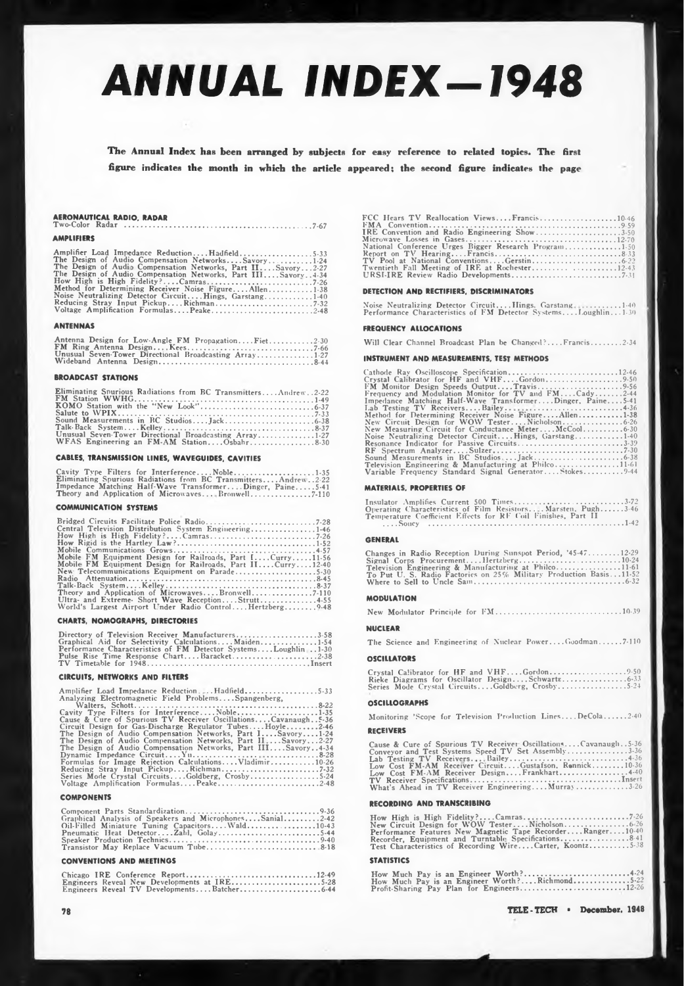# *ANNUAL INDEX-1948*

**The Annual Index has been arranged by subjects for easy reference to related topics. The first figure indicates the month in which the article appeared; the second figure indicates the page**

### **AERONAUTICAL RADIO. RADAR Two-Color Radar ......................................................................................................7-67**

#### **AMPLIFIERS**

| Amplifier Load Impedance ReductionHadfield5-33                     |  |
|--------------------------------------------------------------------|--|
| The Design of Audio Compensation NetworksSavory1.24                |  |
| The Design of Audio Compensation Networks, Part IISavory2-27       |  |
| The Design of Audio Compensation Networks, Part III Savory. . 4-34 |  |
|                                                                    |  |
| Method for Determining Receiver Noise FigureAllen1.38              |  |
| Noise Neutralizing Detector CircuitHings, Garstang1-40             |  |
|                                                                    |  |
| Voltage Amplification FormulasPeake2-48                            |  |
|                                                                    |  |

#### **ANTENNAS**

| Antenna Design for Low-Angle FM PropagationFiet2-30    |  |
|--------------------------------------------------------|--|
|                                                        |  |
| Unusual Seven-Tower Directional Broadcasting Array1-27 |  |
|                                                        |  |

#### **BROADCAST STATIONS**

| Eliminating Spurious Radiations from BC TransmittersAndrew2-22 | טנעג נעגיג<br>Frequen |
|----------------------------------------------------------------|-----------------------|
|                                                                | Impedar               |
|                                                                | Lab Te                |
|                                                                | Method                |
|                                                                | New Ci                |
|                                                                | New Mo                |
| Unusual Seven-Tower Directional Broadcasting Array1-27         | Noise N               |
|                                                                | Resonar               |

#### **CABLES, TRANSMISSION LINES, WAVEGUIDES. CAVITIES**

Cavity Type Filters for Interference....Noble.....................1-35<br>Eliminating Spurious Radiations from BC Transmitters....Andrew..2-22<br>Impedance Matching Half-Wave Transformer....Dinger, Paine.....541<br>Theory and Appli

#### **COMMUNICATION SYSTEMS**

| <b>COMMUNICATION SYSTEMS</b>                                                                                                                                                                                                                                                                                                                                                                                                                          |  |
|-------------------------------------------------------------------------------------------------------------------------------------------------------------------------------------------------------------------------------------------------------------------------------------------------------------------------------------------------------------------------------------------------------------------------------------------------------|--|
| Bridged Circuits Facilitate Police Radio7-28<br>Central Television Distribution System Engineering1-46<br>How High is High Fidelity?Camras7-26<br>Mobile FM Equipment Design for Railroads, Part I, Curry11-56<br>Mobile FM Equipment Design for Railroads, Part IICurry12-40<br>New Telecommunications Equipment on Parade5-30<br>Ultra- and Extreme- Short Wave ReceptionStrutt4-55<br>World's Largest Airport Under Radio Control, Hertzberg, 9-48 |  |
|                                                                                                                                                                                                                                                                                                                                                                                                                                                       |  |

#### **CHARTS, NOMOGRAPHS, DIRECTORIES**

| Directory of Television Receiver Manufacturers3-58             |
|----------------------------------------------------------------|
| Graphical Aid for Selectivity CalculationsMaiden1-54           |
| Performance Characteristics of FM Detector SystemsLoughlin1-30 |
|                                                                |
|                                                                |

#### **CIRCUITS, NETWORKS AND FILTERS**

| Amplifier Load Impedance ReductionHadfield5-33                  |
|-----------------------------------------------------------------|
| Analyzing Electromagnetic Field ProblemsSpangenberg,            |
|                                                                 |
| Cavity Type Filters for InterferenceNoble1-35                   |
| Cause & Cure of Spurious TV Receiver OscillationsCavanaugh5-36  |
| Circuit Design for Gas-Discharge Regulator TubesHovle2-46       |
| The Design of Audio Compensation Networks, Part 1, Savory, 1-24 |
| The Design of Audio Compensation Networks, Part IISayory2-27    |
| The Design of Audio Compensation Networks, Part IIISavory4-34   |
|                                                                 |
| Formulas for Image Rejection Calculations Vladimir 10-26        |
|                                                                 |
| Series Mode Crystal CircuitsGoldberg, Crosby5-24                |
|                                                                 |
|                                                                 |

#### **COMPONENTS**

| Graphical Analysis of Speakers and MicrophonesSanial2-42 |  |
|----------------------------------------------------------|--|
| Oil-Filled Miniature Tuning Capacitors Wald10-43         |  |
| Pneumatic Heat DetectorZahl. Golay5-44                   |  |
|                                                          |  |
|                                                          |  |

#### **CONVENTIONS AND MEETINGS**

|  | Engineers Reveal New Developments at IRE5-28 |  |  |  |  |  |
|--|----------------------------------------------|--|--|--|--|--|
|  | Engineers Reveal TV DevelopmentsBatcher6-44  |  |  |  |  |  |

**78**

| FCC Hears TV Reallocation ViewsFrancis10.46           |
|-------------------------------------------------------|
|                                                       |
| IRE Convention and Radio Engineering Show3-50         |
| National Conference Urges Bigger Research Program1-50 |
|                                                       |
|                                                       |
|                                                       |
|                                                       |

#### **DETECTION AND RECTIFIERS, DISCRIMINATORS**

Noise Neutralizing Detector Circuit....Hings. Garstang.............140<br>Performance Characteristics of FM Detector Systems....Loughlin...130

#### **FREQUENCY ALLOCATIONS**

**Will Clear Channel Broadcast Plan be Changed?... .Francis................2-34**

#### **INSTRUMENT AND MEASUREMENTS. TEST METHODS**

| Frequency and Modulation Monitor for TV and $FM$ Cady2-44 |
|-----------------------------------------------------------|
| Impedance Matching Half-Wave TransformerDinger, Paine5-41 |
|                                                           |
| Method for Determining Receiver Noise FigureAllen1-38     |
|                                                           |
| New Measuring Circuit for Conductance MeterMcCool6-30     |
| Noise Neutralizing Detector CircuitHings, Garstang1-40    |
| Resonance Indicator for Passive Circuits3-39              |
|                                                           |
|                                                           |
| Television Engineering & Manufacturing at Philco11-61     |
| Variable Frequency Standard Signal GeneratorStokes9-44    |
|                                                           |

#### **MATERIALS. PROPERTIES OF**

| Insulator Amplifies Current 500 Times3-72                     |  |
|---------------------------------------------------------------|--|
| Operating Characteristics of Film Resistors Marsten. Pugh3-46 |  |
| Temperature Coefficient Effects for RF Coil Finishes, Part II |  |
|                                                               |  |

#### **GENERAL**

| Changes in Radio Reception During Sunspot Period, '45-4712-29      |
|--------------------------------------------------------------------|
| Signal Corps Procurementllertzberg10-24                            |
| Television Engineering & Manufacturing at Philco11.61              |
| To Put U. S. Radio Factories on 25% Military Production Basis11-52 |
|                                                                    |

#### **MODULATION**

|--|--|--|--|--|--|--|

#### **NUCLEAR**

**The Science and Engineering of Nuclear Power... .Goodman........... 7-110**

#### **OSCILLATORS**

|  | Series Mode Crystal CircuitsGoldberg, Crosby5-24 |
|--|--------------------------------------------------|

#### **OSCILLOGRAPHS**

**Monitoring 'Scope for Television Production Lines.... DeCola........... 2-40 receivers**

Cause & Cure of Spurious TV Receiver Oscillations....Cavanaugh..5-36<br>
Lab Testing TV Receiver Speed TV Set Assembly...............3-36<br>
Low Cost FM-AM Receiver Circuit....Custafson, Rennick.................................

#### **RECORDING AND TRANSCRIBING**

| RECORDING AND TRANSCRIBING                                                                                                                                                                                                       |  |
|----------------------------------------------------------------------------------------------------------------------------------------------------------------------------------------------------------------------------------|--|
| New Circuit Design for WOW TesterNicholson 626<br>Performance Features New Magnetic Tape RecorderRanger10-40<br>Recorder. Equipment and Turntable Specifications8.41<br>Test Characteristics of Recording WireCarter, Koontz5-38 |  |

#### **STATISTICS**

|  |  |  | How Much Pay is an Engineer Worth?Richmond5-22 |  |
|--|--|--|------------------------------------------------|--|
|  |  |  | Profit-Sharing Pay Plan for Engineers12-26     |  |

**TELE-TECH December. 1948**